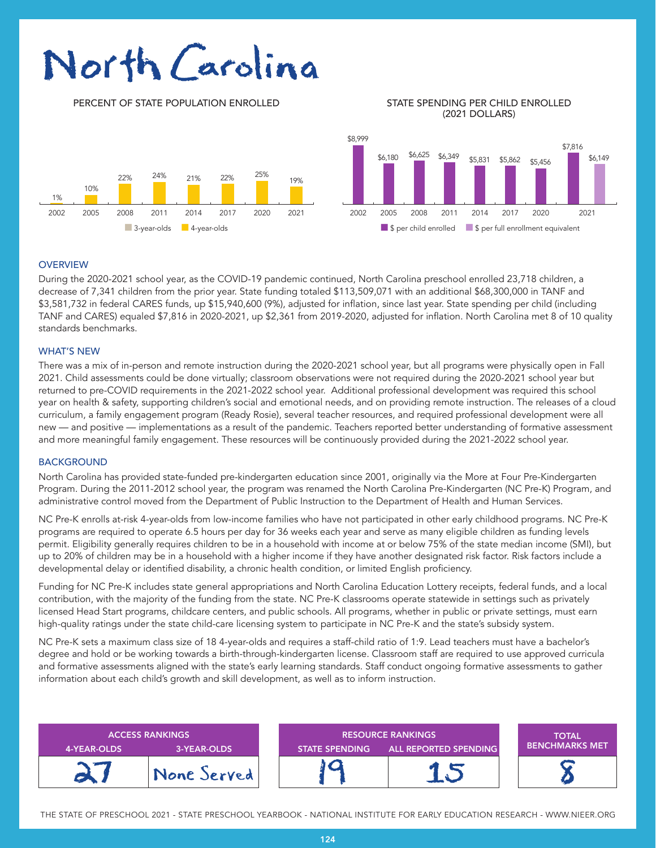# North Carolina

PERCENT OF STATE POPULATION ENROLLED STATE SPENDING PER CHILD ENROLLED

## (2021 DOLLARS)



#### **OVERVIEW**

During the 2020-2021 school year, as the COVID-19 pandemic continued, North Carolina preschool enrolled 23,718 children, a decrease of 7,341 children from the prior year. State funding totaled \$113,509,071 with an additional \$68,300,000 in TANF and \$3,581,732 in federal CARES funds, up \$15,940,600 (9%), adjusted for inflation, since last year. State spending per child (including TANF and CARES) equaled \$7,816 in 2020-2021, up \$2,361 from 2019-2020, adjusted for inflation. North Carolina met 8 of 10 quality standards benchmarks.

#### WHAT'S NEW

There was a mix of in-person and remote instruction during the 2020-2021 school year, but all programs were physically open in Fall 2021. Child assessments could be done virtually; classroom observations were not required during the 2020-2021 school year but returned to pre-COVID requirements in the 2021-2022 school year. Additional professional development was required this school year on health & safety, supporting children's social and emotional needs, and on providing remote instruction. The releases of a cloud curriculum, a family engagement program (Ready Rosie), several teacher resources, and required professional development were all new — and positive — implementations as a result of the pandemic. Teachers reported better understanding of formative assessment and more meaningful family engagement. These resources will be continuously provided during the 2021-2022 school year.

#### **BACKGROUND**

North Carolina has provided state-funded pre-kindergarten education since 2001, originally via the More at Four Pre-Kindergarten Program. During the 2011-2012 school year, the program was renamed the North Carolina Pre-Kindergarten (NC Pre-K) Program, and administrative control moved from the Department of Public Instruction to the Department of Health and Human Services.

NC Pre-K enrolls at-risk 4-year-olds from low-income families who have not participated in other early childhood programs. NC Pre-K programs are required to operate 6.5 hours per day for 36 weeks each year and serve as many eligible children as funding levels permit. Eligibility generally requires children to be in a household with income at or below 75% of the state median income (SMI), but up to 20% of children may be in a household with a higher income if they have another designated risk factor. Risk factors include a developmental delay or identified disability, a chronic health condition, or limited English proficiency.

Funding for NC Pre-K includes state general appropriations and North Carolina Education Lottery receipts, federal funds, and a local contribution, with the majority of the funding from the state. NC Pre-K classrooms operate statewide in settings such as privately licensed Head Start programs, childcare centers, and public schools. All programs, whether in public or private settings, must earn high-quality ratings under the state child-care licensing system to participate in NC Pre-K and the state's subsidy system.

NC Pre-K sets a maximum class size of 18 4-year-olds and requires a staff-child ratio of 1:9. Lead teachers must have a bachelor's degree and hold or be working towards a birth-through-kindergarten license. Classroom staff are required to use approved curricula and formative assessments aligned with the state's early learning standards. Staff conduct ongoing formative assessments to gather information about each child's growth and skill development, as well as to inform instruction.

| 4-YEAR-OLDS | <b>ACCESS RANKINGS</b><br>3-YEAR-OLDS | <b>RESOURCE RANKINGS</b><br>ALL REPORTED SPENDING<br><b>STATE SPENDING</b> |  | <b>TOTAL</b><br><b>BENCHMARKS MET</b> |
|-------------|---------------------------------------|----------------------------------------------------------------------------|--|---------------------------------------|
|             | None Served!                          |                                                                            |  |                                       |

THE STATE OF PRESCHOOL 2021 - STATE PRESCHOOL YEARBOOK - NATIONAL INSTITUTE FOR EARLY EDUCATION RESEARCH - WWW.NIEER.ORG